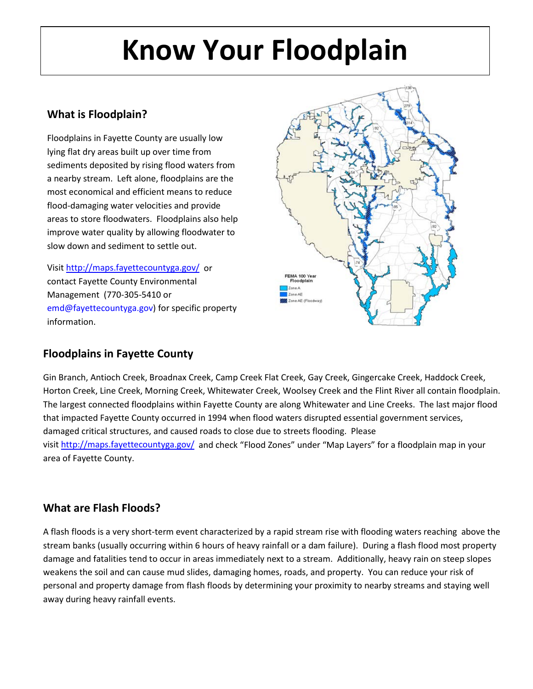## **Know Your Floodplain**

#### **What is Floodplain?**

Floodplains in Fayette County are usually low lying flat dry areas built up over time from sediments deposited by rising flood waters from a nearby stream. Left alone, floodplains are the most economical and efficient means to reduce flood-damaging water velocities and provide areas to store floodwaters. Floodplains also help improve water quality by allowing floodwater to slow down and sediment to settle out.

Visit<http://maps.fayettecountyga.gov/> or contact Fayette County Environmental Management (770-305-5410 or [emd@fayettecountyga.gov\)](mailto:emd@fayettecountyga.gov) for specific property information.



#### **Floodplains in Fayette County**

Gin Branch, Antioch Creek, Broadnax Creek, Camp Creek Flat Creek, Gay Creek, Gingercake Creek, Haddock Creek, Horton Creek, Line Creek, Morning Creek, Whitewater Creek, Woolsey Creek and the Flint River all contain floodplain. The largest connected floodplains within Fayette County are along Whitewater and Line Creeks. The last major flood that impacted Fayette County occurred in 1994 when flood waters disrupted essential government services, damaged critical structures, and caused roads to close due to streets flooding. Please visit<http://maps.fayettecountyga.gov/> and check "Flood Zones" under "Map Layers" for a floodplain map in your area of Fayette County.

#### **What are Flash Floods?**

A flash floods is a very short-term event characterized by a rapid stream rise with flooding waters reaching above the stream banks (usually occurring within 6 hours of heavy rainfall or a dam failure). During a flash flood most property damage and fatalities tend to occur in areas immediately next to a stream. Additionally, heavy rain on steep slopes weakens the soil and can cause mud slides, damaging homes, roads, and property. You can reduce your risk of personal and property damage from flash floods by determining your proximity to nearby streams and staying well away during heavy rainfall events.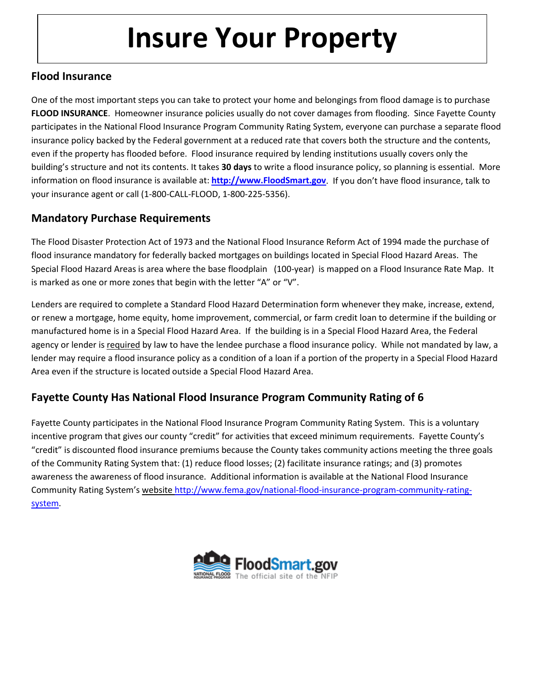### **Insure Your Property**

#### **Flood Insurance**

One of the most important steps you can take to protect your home and belongings from flood damage is to purchase **FLOOD INSURANCE**. Homeowner insurance policies usually do not cover damages from flooding. Since Fayette County participates in the National Flood Insurance Program Community Rating System, everyone can purchase a separate flood insurance policy backed by the Federal government at a reduced rate that covers both the structure and the contents, even if the property has flooded before. Flood insurance required by lending institutions usually covers only the building's structure and not its contents. It takes **30 days** to write a flood insurance policy, so planning is essential. More information on flood insurance is available at: **[http://www.FloodSmart.gov](http://www.floodsmart.gov/)**. If you don't have flood insurance, talk to your insurance agent or call (1-800-CALL-FLOOD, 1-800-225-5356).

#### **Mandatory Purchase Requirements**

The Flood Disaster Protection Act of 1973 and the National Flood Insurance Reform Act of 1994 made the purchase of flood insurance mandatory for federally backed mortgages on buildings located in Special Flood Hazard Areas. The Special Flood Hazard Areas is area where the base floodplain (100-year) is mapped on a Flood Insurance Rate Map. It is marked as one or more zones that begin with the letter "A" or "V".

Lenders are required to complete a Standard Flood Hazard Determination form whenever they make, increase, extend, or renew a mortgage, home equity, home improvement, commercial, or farm credit loan to determine if the building or manufactured home is in a Special Flood Hazard Area. If the building is in a Special Flood Hazard Area, the Federal agency or lender is required by law to have the lendee purchase a flood insurance policy. While not mandated by law, a lender may require a flood insurance policy as a condition of a loan if a portion of the property in a Special Flood Hazard Area even if the structure is located outside a Special Flood Hazard Area.

#### **Fayette County Has National Flood Insurance Program Community Rating of 6**

Fayette County participates in the National Flood Insurance Program Community Rating System. This is a voluntary incentive program that gives our county "credit" for activities that exceed minimum requirements. Fayette County's "credit" is discounted flood insurance premiums because the County takes community actions meeting the three goals of the Community Rating System that: (1) reduce flood losses; (2) facilitate insurance ratings; and (3) promotes awareness the awareness of flood insurance. Additional information is available at the National Flood Insurance Community Rating System's website [http://www.fema.gov/national-flood-insurance-program-community-rating](http://www.fema.gov/national-flood-insurance-program-community-rating-system)[system.](http://www.fema.gov/national-flood-insurance-program-community-rating-system)

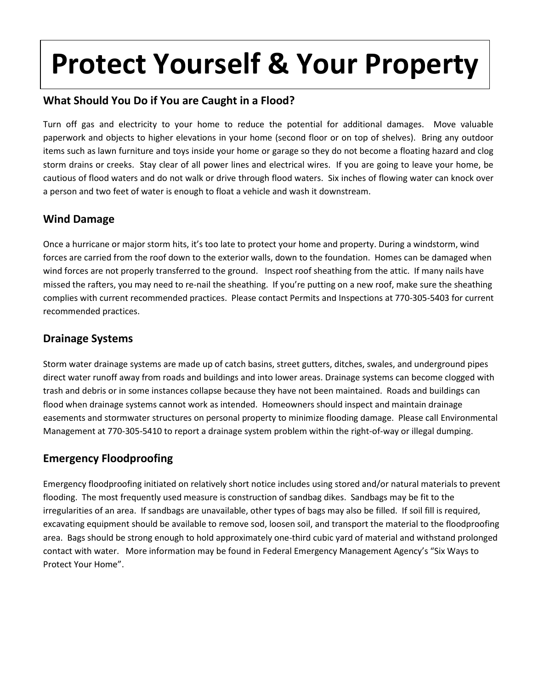## **Protect Yourself & Your Property**

#### **What Should You Do if You are Caught in a Flood?**

Turn off gas and electricity to your home to reduce the potential for additional damages. Move valuable paperwork and objects to higher elevations in your home (second floor or on top of shelves). Bring any outdoor items such as lawn furniture and toys inside your home or garage so they do not become a floating hazard and clog storm drains or creeks. Stay clear of all power lines and electrical wires. If you are going to leave your home, be cautious of flood waters and do not walk or drive through flood waters. Six inches of flowing water can knock over a person and two feet of water is enough to float a vehicle and wash it downstream.

#### **Wind Damage**

Once a hurricane or major storm hits, it's too late to protect your home and property. During a windstorm, wind forces are carried from the roof down to the exterior walls, down to the foundation. Homes can be damaged when wind forces are not properly transferred to the ground. Inspect roof sheathing from the attic. If many nails have missed the rafters, you may need to re-nail the sheathing. If you're putting on a new roof, make sure the sheathing complies with current recommended practices. Please contact Permits and Inspections at 770-305-5403 for current recommended practices.

#### **Drainage Systems**

Storm water drainage systems are made up of catch basins, street gutters, ditches, swales, and underground pipes direct water runoff away from roads and buildings and into lower areas. Drainage systems can become clogged with trash and debris or in some instances collapse because they have not been maintained. Roads and buildings can flood when drainage systems cannot work as intended. Homeowners should inspect and maintain drainage easements and stormwater structures on personal property to minimize flooding damage. Please call Environmental Management at 770-305-5410 to report a drainage system problem within the right-of-way or illegal dumping.

#### **Emergency Floodproofing**

Emergency floodproofing initiated on relatively short notice includes using stored and/or natural materials to prevent flooding. The most frequently used measure is construction of sandbag dikes. Sandbags may be fit to the irregularities of an area. If sandbags are unavailable, other types of bags may also be filled. If soil fill is required, excavating equipment should be available to remove sod, loosen soil, and transport the material to the floodproofing area. Bags should be strong enough to hold approximately one-third cubic yard of material and withstand prolonged contact with water. More information may be found in Federal Emergency Management Agency's "Six Ways to Protect Your Home".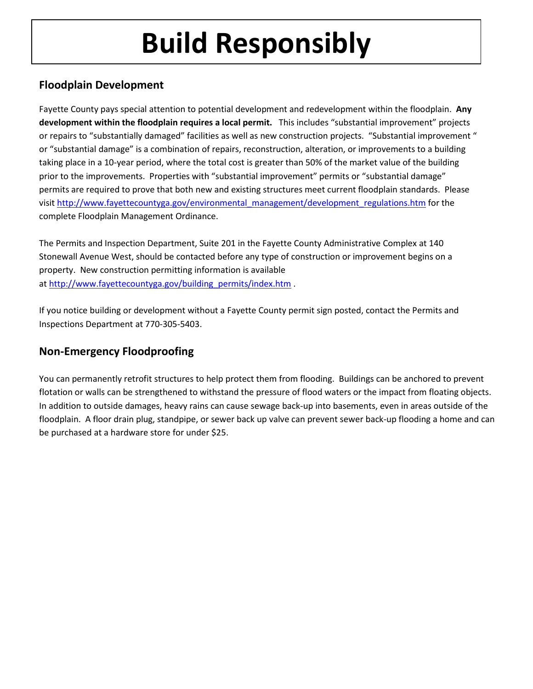# **Build Responsibly**

#### **Floodplain Development**

Fayette County pays special attention to potential development and redevelopment within the floodplain. **Any development within the floodplain requires a local permit.** This includes "substantial improvement" projects or repairs to "substantially damaged" facilities as well as new construction projects. "Substantial improvement " or "substantial damage" is a combination of repairs, reconstruction, alteration, or improvements to a building taking place in a 10-year period, where the total cost is greater than 50% of the market value of the building prior to the improvements. Properties with "substantial improvement" permits or "substantial damage" permits are required to prove that both new and existing structures meet current floodplain standards. Please visi[t http://www.fayettecountyga.gov/environmental\\_management/development\\_regulations.htm](http://www.fayettecountyga.gov/environmental_management/development_regulations.htm) for the complete Floodplain Management Ordinance.

The Permits and Inspection Department, Suite 201 in the Fayette County Administrative Complex at 140 Stonewall Avenue West, should be contacted before any type of construction or improvement begins on a property. New construction permitting information is available at [http://www.fayettecountyga.gov/building\\_permits/index.htm](http://www.fayettecountyga.gov/building_permits/index.htm).

If you notice building or development without a Fayette County permit sign posted, contact the Permits and Inspections Department at 770-305-5403.

#### **Non-Emergency Floodproofing**

You can permanently retrofit structures to help protect them from flooding. Buildings can be anchored to prevent flotation or walls can be strengthened to withstand the pressure of flood waters or the impact from floating objects. In addition to outside damages, heavy rains can cause sewage back-up into basements, even in areas outside of the floodplain. A floor drain plug, standpipe, or sewer back up valve can prevent sewer back-up flooding a home and can be purchased at a hardware store for under \$25.